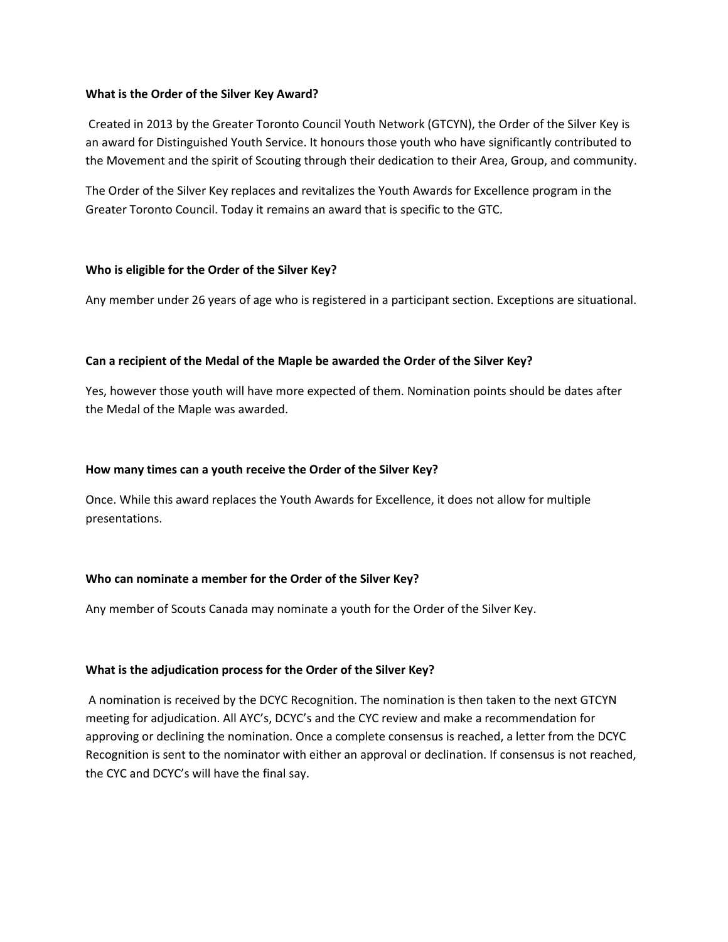#### **What is the Order of the Silver Key Award?**

Created in 2013 by the Greater Toronto Council Youth Network (GTCYN), the Order of the Silver Key is an award for Distinguished Youth Service. It honours those youth who have significantly contributed to the Movement and the spirit of Scouting through their dedication to their Area, Group, and community.

The Order of the Silver Key replaces and revitalizes the Youth Awards for Excellence program in the Greater Toronto Council. Today it remains an award that is specific to the GTC.

#### **Who is eligible for the Order of the Silver Key?**

Any member under 26 years of age who is registered in a participant section. Exceptions are situational.

#### **Can a recipient of the Medal of the Maple be awarded the Order of the Silver Key?**

Yes, however those youth will have more expected of them. Nomination points should be dates after the Medal of the Maple was awarded.

#### **How many times can a youth receive the Order of the Silver Key?**

Once. While this award replaces the Youth Awards for Excellence, it does not allow for multiple presentations.

## **Who can nominate a member for the Order of the Silver Key?**

Any member of Scouts Canada may nominate a youth for the Order of the Silver Key.

#### **What is the adjudication process for the Order of the Silver Key?**

A nomination is received by the DCYC Recognition. The nomination is then taken to the next GTCYN meeting for adjudication. All AYC's, DCYC's and the CYC review and make a recommendation for approving or declining the nomination. Once a complete consensus is reached, a letter from the DCYC Recognition is sent to the nominator with either an approval or declination. If consensus is not reached, the CYC and DCYC's will have the final say.